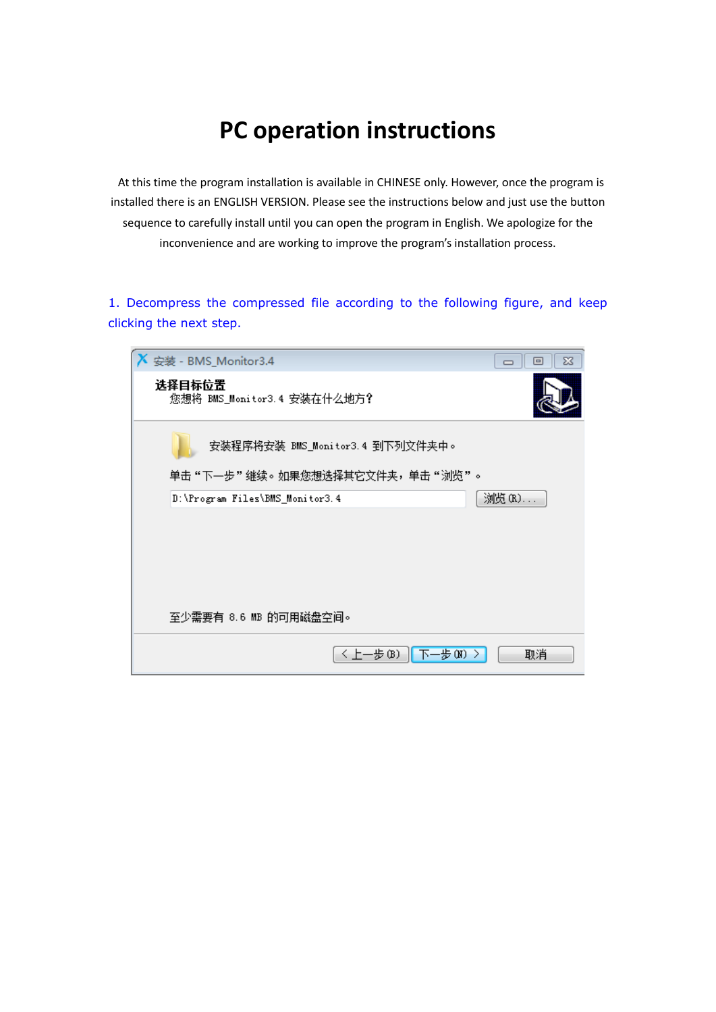## **PC operation instructions**

At this time the program installation is available in CHINESE only. However, once the program is installed there is an ENGLISH VERSION. Please see the instructions below and just use the button sequence to carefully install until you can open the program in English. We apologize for the inconvenience and are working to improve the program's installation process.

1. Decompress the compressed file according to the following figure, and keep clicking the next step.

| 安装 - BMS_Monitor3.4                                              | X<br>$\Box$ |
|------------------------------------------------------------------|-------------|
| 选择目标位置<br>您想将 BMS_Monitor3.4 安装在什么地方?                            |             |
| 安装程序将安装 BMS_Monitor3.4 到下列文件夹中。<br>单击"下一步"维续。如果您想选择其它文件夹,单击"浏览"。 |             |
| D:\Program Files\BMS_Monitor3.4                                  | 浏览(R)       |
|                                                                  |             |
| 至少需要有 8.6 MB 的可用磁盘空间。                                            |             |
| 〈 上一步 (B) 」<br> 下一步 00)                                          | 取消          |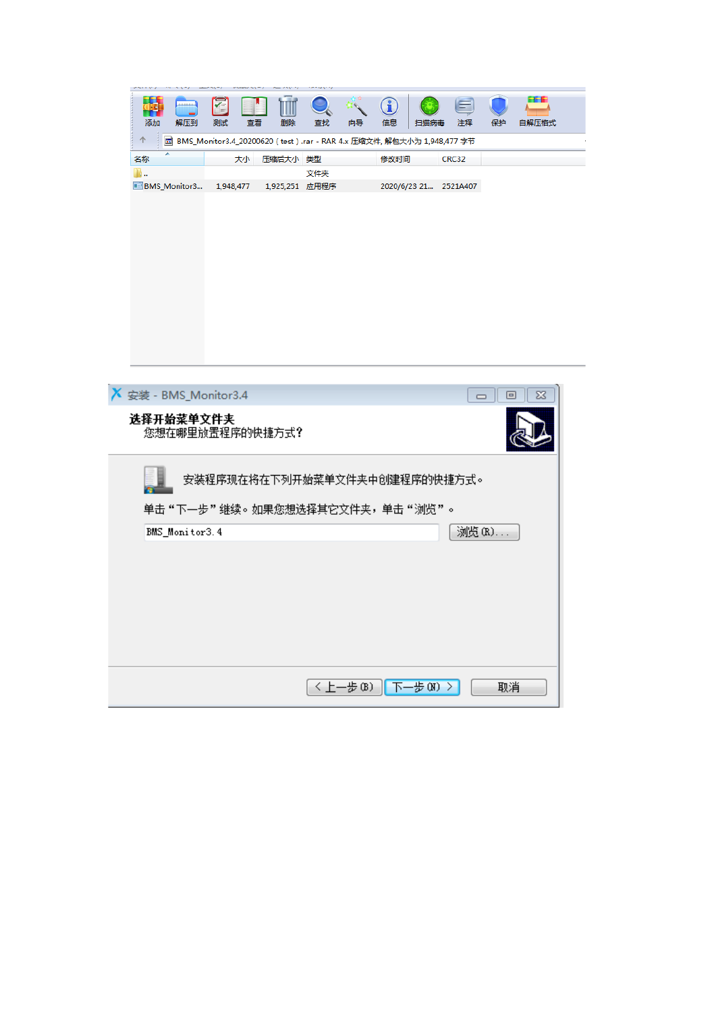|                               |                |           |                 |          |                       |    | f    |                                                                                 |        |       |       |
|-------------------------------|----------------|-----------|-----------------|----------|-----------------------|----|------|---------------------------------------------------------------------------------|--------|-------|-------|
| 添加<br>个                       | 解压到            | 测试        | 查看              | 删除       | 查找                    | 向导 | 信息   | 扫描病毒<br>园 BMS_Monitor3.4_20200620 (test).rar - RAR 4.x 压缩文件, 解包大小为 1,948,477 字节 | 注释     | 保护    | 自解压格式 |
| 名称                            |                |           | 大小              | 压缩后大小 类型 |                       |    | 修改时间 |                                                                                 | CRC32  |       |       |
| в.<br><b>BMS</b> Monitor3     |                | 1,948,477 |                 |          | 文件夹<br>1,925,251 应用程序 |    |      | 2020/6/23 21 2521A407                                                           |        |       |       |
|                               |                |           |                 |          |                       |    |      |                                                                                 |        |       |       |
|                               |                |           |                 |          |                       |    |      |                                                                                 |        |       |       |
|                               |                |           |                 |          |                       |    |      |                                                                                 |        |       |       |
|                               |                |           |                 |          |                       |    |      |                                                                                 |        |       |       |
|                               |                |           |                 |          |                       |    |      |                                                                                 |        |       |       |
|                               |                |           |                 |          |                       |    |      |                                                                                 |        |       |       |
|                               |                |           |                 |          |                       |    |      |                                                                                 |        |       |       |
|                               |                |           |                 |          |                       |    |      |                                                                                 |        |       |       |
|                               |                |           |                 |          |                       |    |      |                                                                                 |        |       |       |
|                               |                |           |                 |          |                       |    |      |                                                                                 |        |       |       |
| $X \times 4$ - BMS_Monitor3.4 |                |           |                 |          |                       |    |      |                                                                                 | $\Box$ | E     |       |
| 选择开始菜单文件夹                     |                |           | 您想在哪里放置程序的快捷方式? |          |                       |    |      |                                                                                 |        |       |       |
|                               |                |           |                 |          |                       |    |      |                                                                                 |        |       |       |
|                               |                |           |                 |          |                       |    |      |                                                                                 |        |       |       |
|                               |                |           |                 |          |                       |    |      | 安装程序现在将在下列开始菜单文件夹中创建程序的快捷方式。                                                    |        |       |       |
|                               |                |           |                 |          |                       |    |      | 单击"下一步"继续。如果您想选择其它文件夹,单击"浏览"。                                                   |        |       |       |
|                               | BMS_Monitor3.4 |           |                 |          |                       |    |      |                                                                                 |        | 浏览(R) |       |
|                               |                |           |                 |          |                       |    |      |                                                                                 |        |       |       |
|                               |                |           |                 |          |                       |    |      |                                                                                 |        |       |       |
|                               |                |           |                 |          |                       |    |      |                                                                                 |        |       |       |
|                               |                |           |                 |          |                       |    |      |                                                                                 |        |       |       |
|                               |                |           |                 |          |                       |    |      |                                                                                 |        |       |       |
|                               |                |           |                 |          |                       |    |      |                                                                                 |        |       |       |
|                               |                |           |                 |          |                       |    |      |                                                                                 |        |       |       |
|                               |                |           |                 |          |                       |    |      | 〈上一步 (B)   下一步 (N) 〉                                                            |        | 取消    |       |
|                               |                |           |                 |          |                       |    |      |                                                                                 |        |       |       |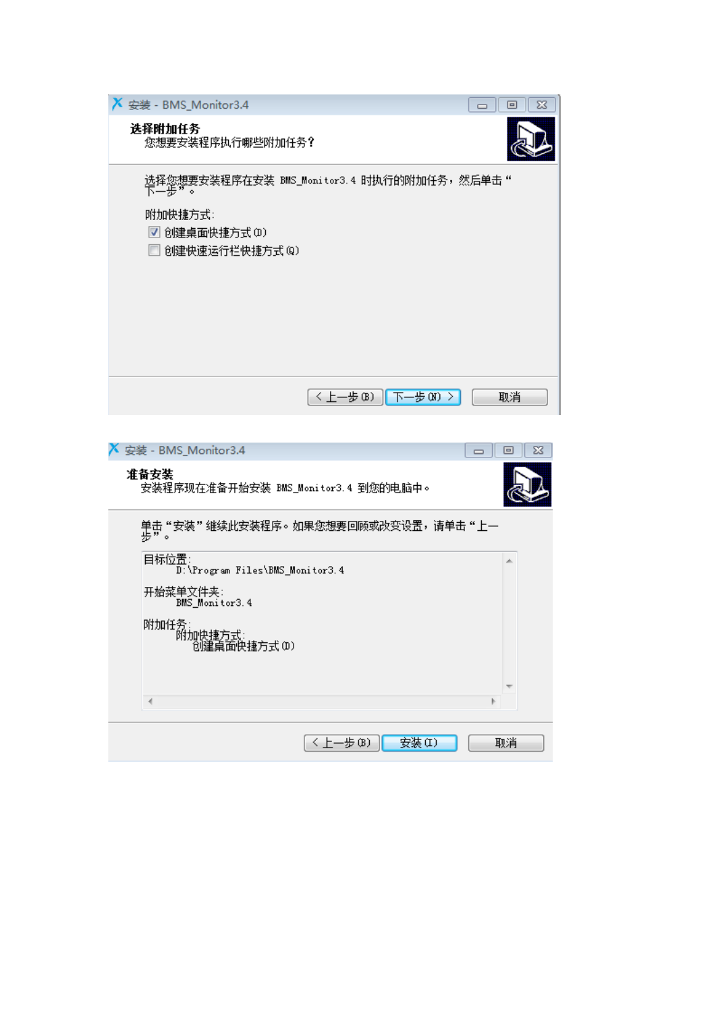

| 安装 - BMS_Monitor3.4                            | $\Box$ | X<br>$\boxed{=}$ |
|------------------------------------------------|--------|------------------|
| 准备安装<br>安装程序现在准备开始安装 BMS_Monitor3.4 到您的电脑中。    |        |                  |
| 单击 "安装 " 继续此安装程序。如果您想要回顾或改变设置,请单击 "上—<br>步 " 。 |        |                  |
| 目标位置:<br>D:\Program Files\BMS_Monitor3.4       |        | ∸                |
| 开始菜单文件夹:<br>BMS_Monitor3.4                     |        |                  |
|                                                |        |                  |
| ∢                                              |        |                  |
|                                                |        |                  |
| 安装(I)<br>〈上一步⑭)                                |        | 取消               |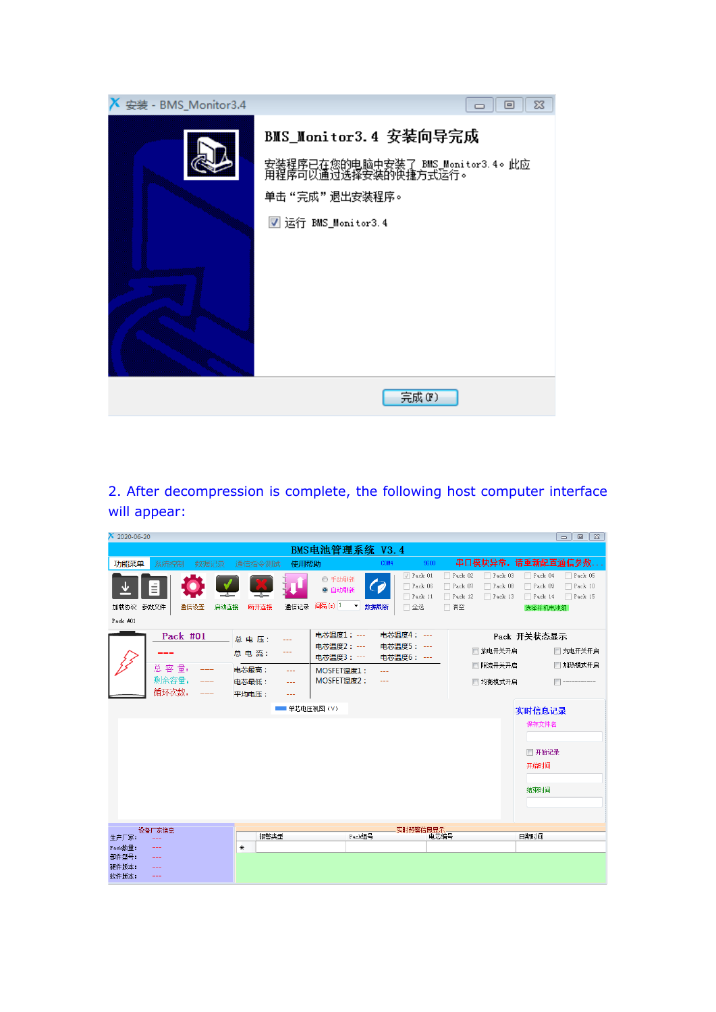

2. After decompression is complete, the following host computer interface will appear:

| $X$ 2020-06-20                                                             |                                                                                                                                                               |                                                                                       |                                                                              |                                                                           |  |  |  |
|----------------------------------------------------------------------------|---------------------------------------------------------------------------------------------------------------------------------------------------------------|---------------------------------------------------------------------------------------|------------------------------------------------------------------------------|---------------------------------------------------------------------------|--|--|--|
| BMS电池管理系统 V3.4                                                             |                                                                                                                                                               |                                                                                       |                                                                              |                                                                           |  |  |  |
| 功能菜单<br>系统控制<br>数据记录                                                       | 使用帮助<br>通信指令测试                                                                                                                                                | 9600<br>COM4                                                                          |                                                                              | 串口模块异常,请重新配置通信参数.                                                         |  |  |  |
| $\bar{\equiv}$<br>通信设置<br>加载协议 参数文件<br>启动连接<br>Pack#01                     | ◎ 手动刷新<br>◎ 自动刷新<br>间隔(s) 1<br>通信记录<br>断开连接                                                                                                                   | $\sqrt{}$ Pack 01<br>Pack 06<br>( g<br>Pack 11<br>$\blacktriangledown$<br>数据刷新<br>□全选 | $\Box$ Pack 02<br>Pack 03<br>Pack 07<br>Pack 08<br>Pack 12<br>Pack 13<br>□清空 | Pack 05<br>Pack 04<br>Pack 10<br>Pack 09<br>Pack 14<br>Pack 15<br>选择并机电池组 |  |  |  |
| Pack #01<br>总 容量:<br>剩余容量:<br>循环次数:                                        | 电芯温度1: ---<br>总电压:<br>---<br>申芯温度2: ---<br>总电流:<br>---<br>电芯温度3: ---<br>电芯最高:<br>MOSFET温度1:<br>$- - -$<br>MOSFET温度2:<br>电芯最低:<br>$\cdots$<br>平均电压:<br>$- - -$ | 电芯温度4: ---<br>申芯温度5: ---<br>电芯温度6: ---<br>222<br>$- - -$                              | □ 放电开关开启<br>□限流开关开启<br>□ 均衡模式开启                                              | Pack 开关状态显示<br>□ 充电开关开启<br>□ 加热模式开启                                       |  |  |  |
|                                                                            | 单芯电压视图 (V)                                                                                                                                                    |                                                                                       |                                                                              | 实时信息记录<br>保存文件名<br>■ 开始记录<br>开始时间<br>结束时间                                 |  |  |  |
| 设备厂家信息<br>生产厂家:<br>Pack数量:<br>部件型号:<br>---<br>硬件版本:<br>---<br>软件版本:<br>--- | 报警类型<br>₩                                                                                                                                                     | 实时预警信息显示<br>Pack组号<br>电芯编号                                                            |                                                                              | 日期时间                                                                      |  |  |  |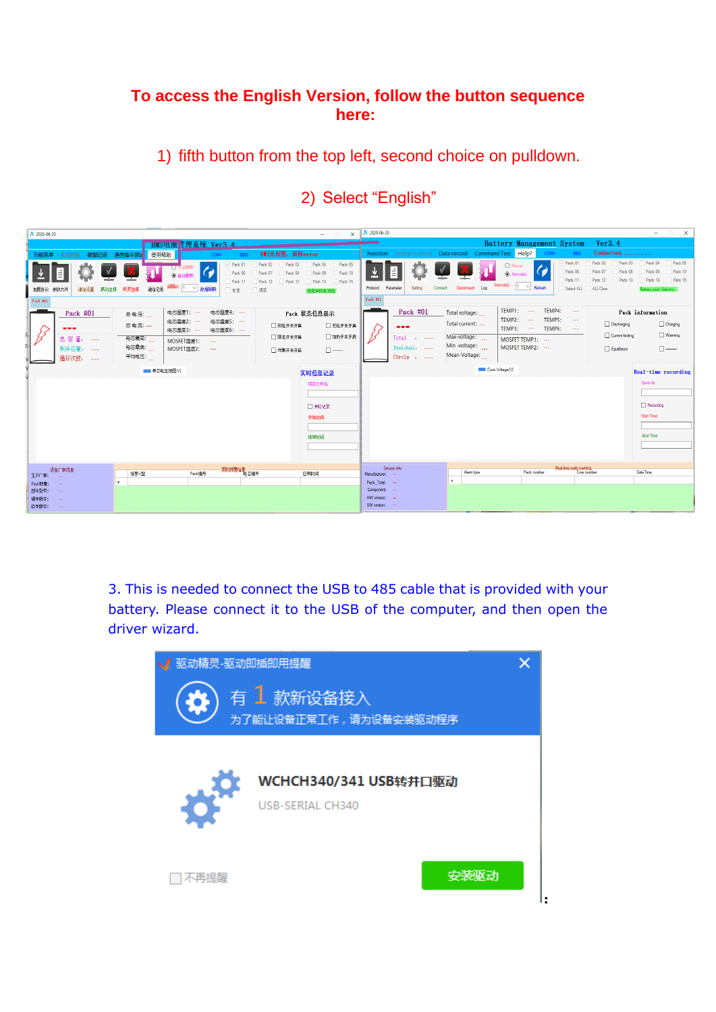## **To access the English Version, follow the button sequence here:**

1) fifth button from the top left, second choice on pulldown.

| X 2020-06-20                                                                                                                        | X 2020-06-20<br>$-$ 0<br>$\times$                                                                                                                                                            | $   \times$                                                                                                                                                                                                                                                                                                                  |
|-------------------------------------------------------------------------------------------------------------------------------------|----------------------------------------------------------------------------------------------------------------------------------------------------------------------------------------------|------------------------------------------------------------------------------------------------------------------------------------------------------------------------------------------------------------------------------------------------------------------------------------------------------------------------------|
| BMS电池 空理系统 Ver3 4                                                                                                                   |                                                                                                                                                                                              | Battery Management System<br>Ver3.4                                                                                                                                                                                                                                                                                          |
| 使用帮助<br>数据记录<br>通信指令测试<br>功能菜单<br>COM4                                                                                              | BIS无应答, 返回error                                                                                                                                                                              | Function System Control Data record Command Test Help?<br>COM4<br>$Connected$                                                                                                                                                                                                                                                |
| Pack 01<br>地断<br>Pack 06<br>Pack 11<br>通信记录 同隔(s) 1 × 数据刷新<br>通信设置 昌动连接 断开连接<br>加载协议 参数文件<br>全选<br>Pack #01                         | Pack 04<br>Pack 02<br>Pack 03<br>Pack 05<br>Pack 09<br>Pack 07<br>Pack 08<br>Pack 10<br>Pack 14 Pack 15<br>Pack 12<br>Pack 13<br>Setting<br>Protocol Parameter<br>日清空<br>选择并机申池组<br>Pack #01 | Pack 05<br>$\sqrt{P}$ Pack 01<br>Pack 02<br>Pack 03<br>Pack 04<br>O Manual<br>Pack 06<br>Pack 07<br>Pack 09<br>Pack 10<br>Pack 08<br>C Automatic<br>Pack 11<br>Pack 12<br>Pack 14<br>Pack 15<br>Pack 13<br>Interval(s)<br>$ 1 - \vee $<br>Refresh<br>Connect Disconnect Log<br>Select ALL ALL Clear<br>Battery pack Selector |
| 电芯温度1: ---<br>电芯温度4: ---<br>Pack #01<br>总电压:                                                                                        | Pack #01<br>Pack 状态信息显示                                                                                                                                                                      | TEMP4:<br><b>TEMP1: ---</b><br>$\sim$<br>Pack information<br>Total voltage:                                                                                                                                                                                                                                                  |
| 电芯温度2: ---<br>电芯温度5: ---<br>总电流: ---<br>---<br>电芯温度3: …<br>申芯温度6: ---                                                               | □ 放电开关开启<br>□ 充电开关开启<br>---                                                                                                                                                                  | TEMP2: ---<br>TEMP5:<br>$\sim$ $\sim$<br>Total current:<br>Discharging<br>Charging<br>TEMP3: ---<br>TEMP6:<br><b>Contract</b>                                                                                                                                                                                                |
| 电芯最高:<br>总容量:<br>----<br>MOSFET温度1:<br>$\sim$<br>电芯最底:<br>剩余容量:<br>MOSFET温度2:<br>$\sim$ $\sim$ $\sim$<br>----<br>平均电压:<br>循环次数: --- | □ 加热开关开启<br>□限流开关开启<br>$Total : ---$<br>Residual: ---<br>□ 均衡开关开启<br>$Circle: --$                                                                                                            | $\Box$ Warming<br>Current limiting<br>Max-voltage:<br>MOSFET TEMP1: ---<br>Min-voltage:<br>MOSFET TEMP2: ---<br>Equilbrium<br>$\Box$<br>Mean-Voltage:                                                                                                                                                                        |
| ■ 单芯电压视图(V)                                                                                                                         | 实时信息记录                                                                                                                                                                                       | Core Voltage(V)<br>Real-time recording                                                                                                                                                                                                                                                                                       |
|                                                                                                                                     | 保存文件名<br>□ 开始记录<br>开始时间<br>结束时间                                                                                                                                                              | Save As<br>Recording<br>Start Time<br>End Time                                                                                                                                                                                                                                                                               |
| -<br>实时预警信息<br>电芯编号<br>设备厂家信息                                                                                                       | Device Info                                                                                                                                                                                  | Real-time early warning<br>Date Time<br>Alarm type<br>Pack number<br>Core number                                                                                                                                                                                                                                             |
| 报警型<br>Pack编号<br>生产厂家:<br>$\bullet$                                                                                                 | 日期时间<br>Manufacturer:<br>Pack_Total: -                                                                                                                                                       | ٠                                                                                                                                                                                                                                                                                                                            |
| Pack設量:<br>部件型号:                                                                                                                    | Component: -<br>HW version: -                                                                                                                                                                |                                                                                                                                                                                                                                                                                                                              |
| 硬件版本:<br>软件版本:                                                                                                                      | SW version: -                                                                                                                                                                                |                                                                                                                                                                                                                                                                                                                              |

## 2) Select "English"

3. This is needed to connect the USB to 485 cable that is provided with your battery. Please connect it to the USB of the computer, and then open the driver wizard.

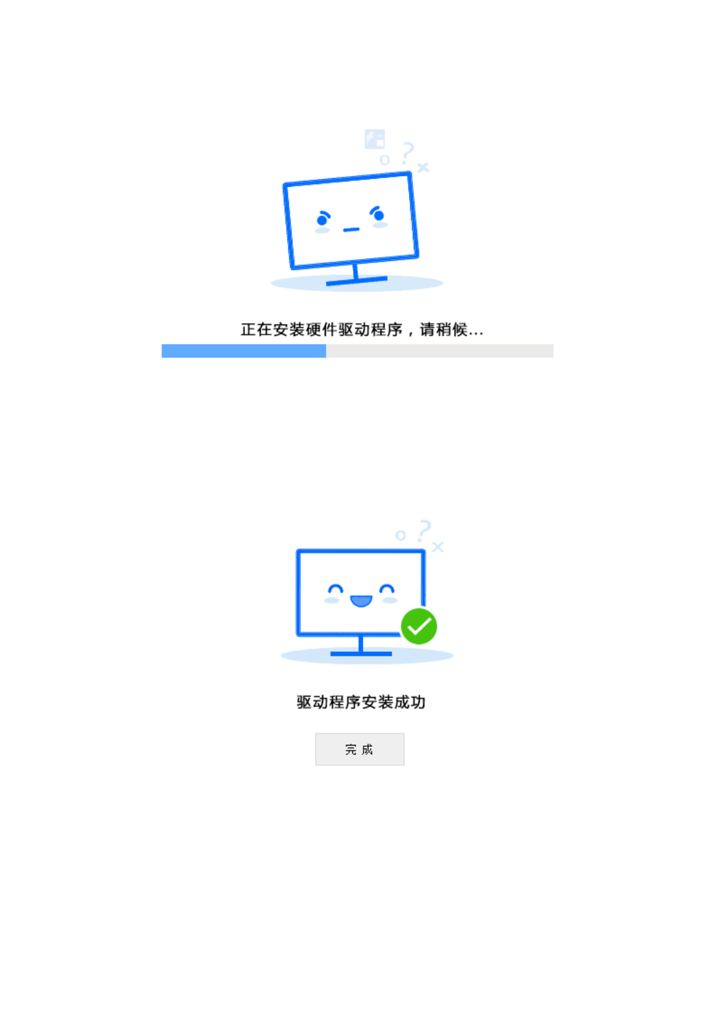

正在安装硬件驱动程序,请稍候...

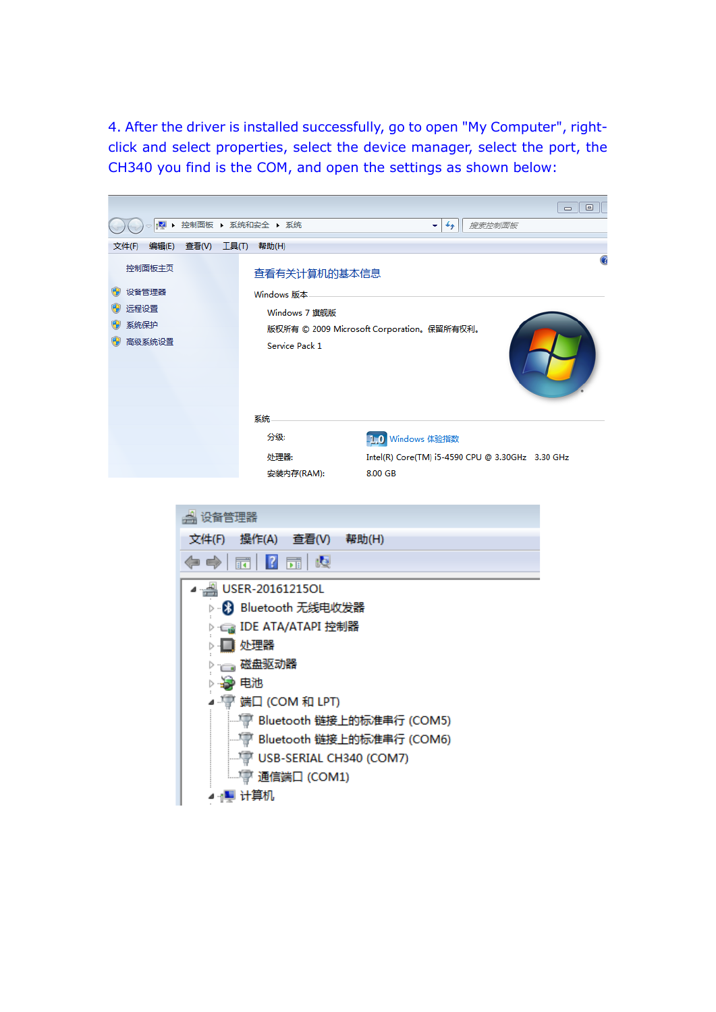4. After the driver is installed successfully, go to open "My Computer", rightclick and select properties, select the device manager, select the port, the CH340 you find is the COM, and open the settings as shown below:

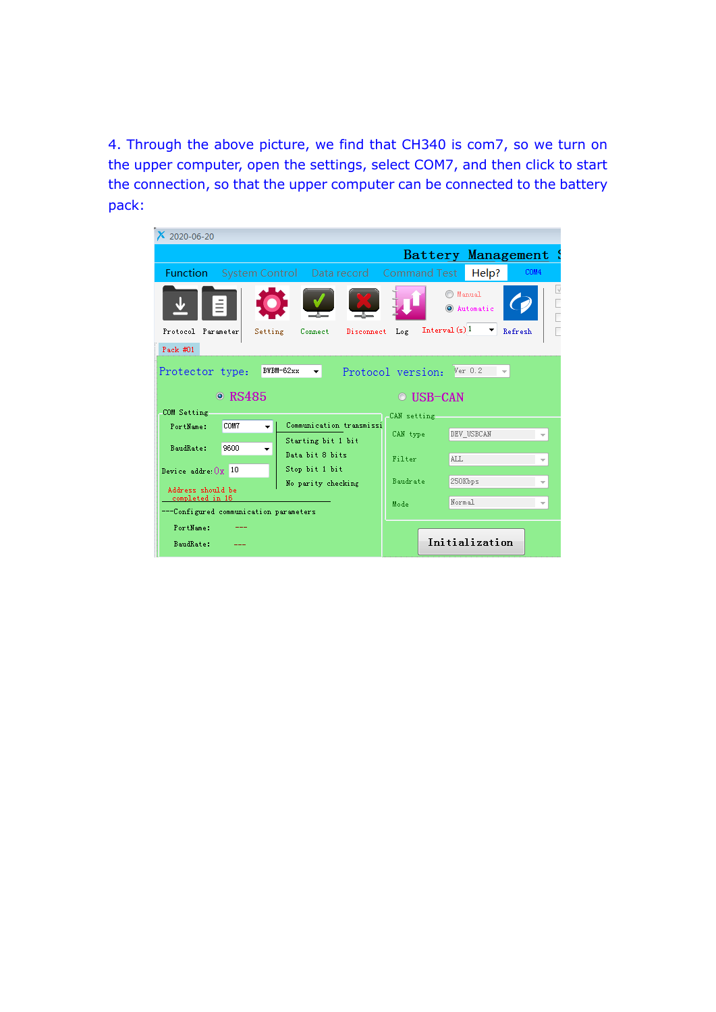4. Through the above picture, we find that CH340 is com7, so we turn on the upper computer, open the settings, select COM7, and then click to start the connection, so that the upper computer can be connected to the battery pack: